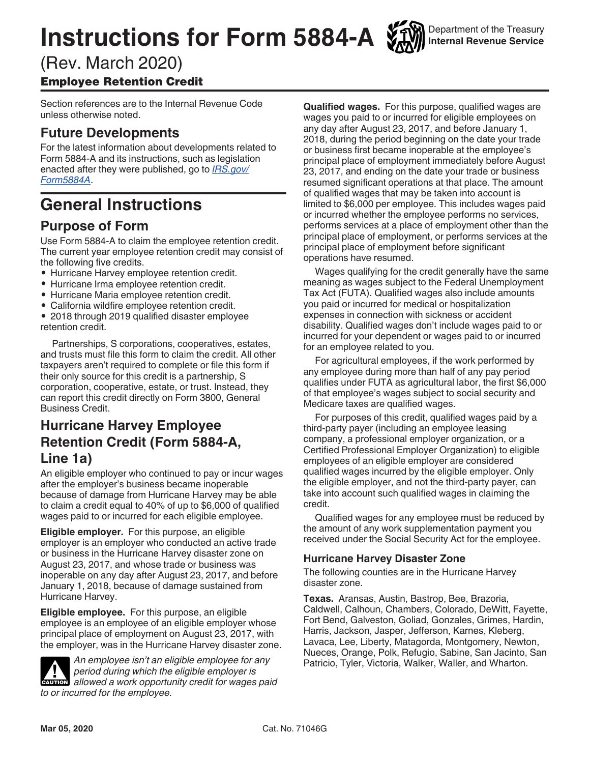# **Instructions for Form 5884-A**

# (Rev. March 2020) Employee Retention Credit

Section references are to the Internal Revenue Code unless otherwise noted.

# **Future Developments**

For the latest information about developments related to Form 5884-A and its instructions, such as legislation enacted after they were published, go to *[IRS.gov/](https://www.irs.gov/form5884a) [Form5884A](https://www.irs.gov/form5884a)*.

# **General Instructions**

# **Purpose of Form**

Use Form 5884-A to claim the employee retention credit. The current year employee retention credit may consist of the following five credits.

- Hurricane Harvey employee retention credit.
- Hurricane Irma employee retention credit.
- Hurricane Maria employee retention credit.
- California wildfire employee retention credit.

• 2018 through 2019 qualified disaster employee retention credit.

Partnerships, S corporations, cooperatives, estates, and trusts must file this form to claim the credit. All other taxpayers aren't required to complete or file this form if their only source for this credit is a partnership, S corporation, cooperative, estate, or trust. Instead, they can report this credit directly on Form 3800, General Business Credit.

# **Hurricane Harvey Employee Retention Credit (Form 5884-A, Line 1a)**

An eligible employer who continued to pay or incur wages after the employer's business became inoperable because of damage from Hurricane Harvey may be able to claim a credit equal to 40% of up to \$6,000 of qualified wages paid to or incurred for each eligible employee.

**Eligible employer.** For this purpose, an eligible employer is an employer who conducted an active trade or business in the Hurricane Harvey disaster zone on August 23, 2017, and whose trade or business was inoperable on any day after August 23, 2017, and before January 1, 2018, because of damage sustained from Hurricane Harvey.

**Eligible employee.** For this purpose, an eligible employee is an employee of an eligible employer whose principal place of employment on August 23, 2017, with the employer, was in the Hurricane Harvey disaster zone.



*An employee isn't an eligible employee for any period during which the eligible employer is*  **z**<br>**CAUTION** allowed a work opportunity credit for wages paid *to or incurred for the employee.*

**Qualified wages.** For this purpose, qualified wages are wages you paid to or incurred for eligible employees on any day after August 23, 2017, and before January 1, 2018, during the period beginning on the date your trade or business first became inoperable at the employee's principal place of employment immediately before August 23, 2017, and ending on the date your trade or business resumed significant operations at that place. The amount of qualified wages that may be taken into account is limited to \$6,000 per employee. This includes wages paid or incurred whether the employee performs no services, performs services at a place of employment other than the principal place of employment, or performs services at the principal place of employment before significant operations have resumed.

Wages qualifying for the credit generally have the same meaning as wages subject to the Federal Unemployment Tax Act (FUTA). Qualified wages also include amounts you paid or incurred for medical or hospitalization expenses in connection with sickness or accident disability. Qualified wages don't include wages paid to or incurred for your dependent or wages paid to or incurred for an employee related to you.

For agricultural employees, if the work performed by any employee during more than half of any pay period qualifies under FUTA as agricultural labor, the first \$6,000 of that employee's wages subject to social security and Medicare taxes are qualified wages.

For purposes of this credit, qualified wages paid by a third-party payer (including an employee leasing company, a professional employer organization, or a Certified Professional Employer Organization) to eligible employees of an eligible employer are considered qualified wages incurred by the eligible employer. Only the eligible employer, and not the third-party payer, can take into account such qualified wages in claiming the credit.

Qualified wages for any employee must be reduced by the amount of any work supplementation payment you received under the Social Security Act for the employee.

### **Hurricane Harvey Disaster Zone**

The following counties are in the Hurricane Harvey disaster zone.

**Texas.** Aransas, Austin, Bastrop, Bee, Brazoria, Caldwell, Calhoun, Chambers, Colorado, DeWitt, Fayette, Fort Bend, Galveston, Goliad, Gonzales, Grimes, Hardin, Harris, Jackson, Jasper, Jefferson, Karnes, Kleberg, Lavaca, Lee, Liberty, Matagorda, Montgomery, Newton, Nueces, Orange, Polk, Refugio, Sabine, San Jacinto, San Patricio, Tyler, Victoria, Walker, Waller, and Wharton.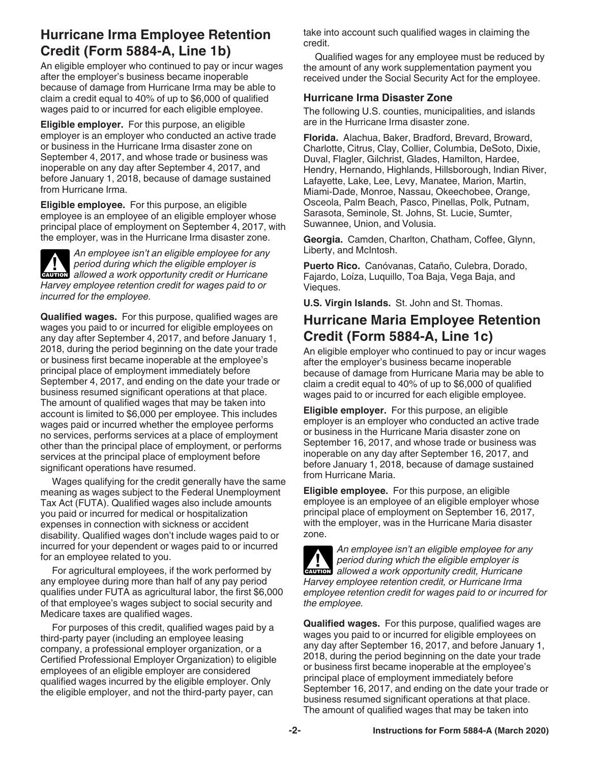# **Hurricane Irma Employee Retention Credit (Form 5884-A, Line 1b)**

An eligible employer who continued to pay or incur wages after the employer's business became inoperable because of damage from Hurricane Irma may be able to claim a credit equal to 40% of up to \$6,000 of qualified wages paid to or incurred for each eligible employee.

**Eligible employer.** For this purpose, an eligible employer is an employer who conducted an active trade or business in the Hurricane Irma disaster zone on September 4, 2017, and whose trade or business was inoperable on any day after September 4, 2017, and before January 1, 2018, because of damage sustained from Hurricane Irma.

**Eligible employee.** For this purpose, an eligible employee is an employee of an eligible employer whose principal place of employment on September 4, 2017, with the employer, was in the Hurricane Irma disaster zone.

*An employee isn't an eligible employee for any period during which the eligible employer is*  **z**<br>**CAUTION** allowed a work opportunity credit or Hurricane *Harvey employee retention credit for wages paid to or incurred for the employee.*

**Qualified wages.** For this purpose, qualified wages are wages you paid to or incurred for eligible employees on any day after September 4, 2017, and before January 1, 2018, during the period beginning on the date your trade or business first became inoperable at the employee's principal place of employment immediately before September 4, 2017, and ending on the date your trade or business resumed significant operations at that place. The amount of qualified wages that may be taken into account is limited to \$6,000 per employee. This includes wages paid or incurred whether the employee performs no services, performs services at a place of employment other than the principal place of employment, or performs services at the principal place of employment before significant operations have resumed.

Wages qualifying for the credit generally have the same meaning as wages subject to the Federal Unemployment Tax Act (FUTA). Qualified wages also include amounts you paid or incurred for medical or hospitalization expenses in connection with sickness or accident disability. Qualified wages don't include wages paid to or incurred for your dependent or wages paid to or incurred for an employee related to you.

For agricultural employees, if the work performed by any employee during more than half of any pay period qualifies under FUTA as agricultural labor, the first \$6,000 of that employee's wages subject to social security and Medicare taxes are qualified wages.

For purposes of this credit, qualified wages paid by a third-party payer (including an employee leasing company, a professional employer organization, or a Certified Professional Employer Organization) to eligible employees of an eligible employer are considered qualified wages incurred by the eligible employer. Only the eligible employer, and not the third-party payer, can

take into account such qualified wages in claiming the credit.

Qualified wages for any employee must be reduced by the amount of any work supplementation payment you received under the Social Security Act for the employee.

#### **Hurricane Irma Disaster Zone**

The following U.S. counties, municipalities, and islands are in the Hurricane Irma disaster zone.

**Florida.** Alachua, Baker, Bradford, Brevard, Broward, Charlotte, Citrus, Clay, Collier, Columbia, DeSoto, Dixie, Duval, Flagler, Gilchrist, Glades, Hamilton, Hardee, Hendry, Hernando, Highlands, Hillsborough, Indian River, Lafayette, Lake, Lee, Levy, Manatee, Marion, Martin, Miami-Dade, Monroe, Nassau, Okeechobee, Orange, Osceola, Palm Beach, Pasco, Pinellas, Polk, Putnam, Sarasota, Seminole, St. Johns, St. Lucie, Sumter, Suwannee, Union, and Volusia.

**Georgia.** Camden, Charlton, Chatham, Coffee, Glynn, Liberty, and McIntosh.

**Puerto Rico.** Canóvanas, Cataño, Culebra, Dorado, Fajardo, Loíza, Luquillo, Toa Baja, Vega Baja, and Vieques.

**U.S. Virgin Islands.** St. John and St. Thomas.

# **Hurricane Maria Employee Retention Credit (Form 5884-A, Line 1c)**

An eligible employer who continued to pay or incur wages after the employer's business became inoperable because of damage from Hurricane Maria may be able to claim a credit equal to 40% of up to \$6,000 of qualified wages paid to or incurred for each eligible employee.

**Eligible employer.** For this purpose, an eligible employer is an employer who conducted an active trade or business in the Hurricane Maria disaster zone on September 16, 2017, and whose trade or business was inoperable on any day after September 16, 2017, and before January 1, 2018, because of damage sustained from Hurricane Maria.

**Eligible employee.** For this purpose, an eligible employee is an employee of an eligible employer whose principal place of employment on September 16, 2017, with the employer, was in the Hurricane Maria disaster zone.



*An employee isn't an eligible employee for any period during which the eligible employer is*  **z** *allowed a work opportunity credit, Hurricane allowed a work opportunity credit, Hurricane Harvey employee retention credit, or Hurricane Irma employee retention credit for wages paid to or incurred for the employee.*

**Qualified wages.** For this purpose, qualified wages are wages you paid to or incurred for eligible employees on any day after September 16, 2017, and before January 1, 2018, during the period beginning on the date your trade or business first became inoperable at the employee's principal place of employment immediately before September 16, 2017, and ending on the date your trade or business resumed significant operations at that place. The amount of qualified wages that may be taken into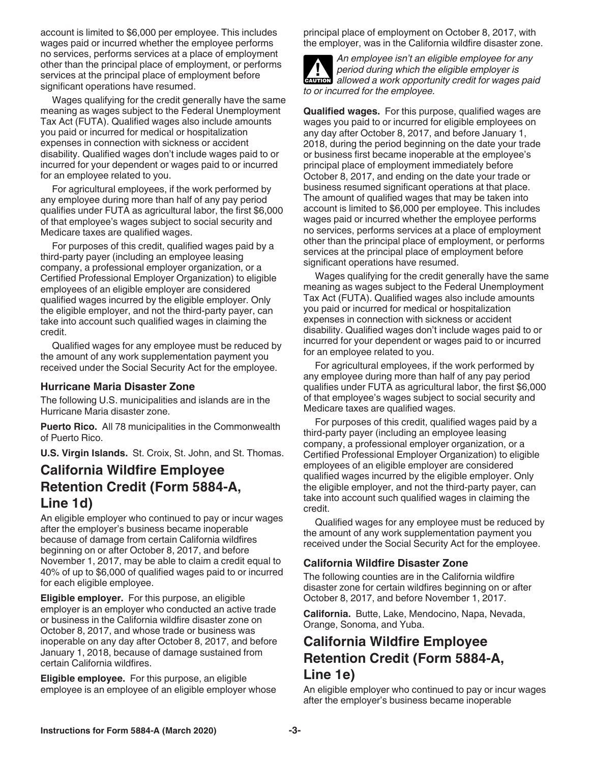account is limited to \$6,000 per employee. This includes wages paid or incurred whether the employee performs no services, performs services at a place of employment other than the principal place of employment, or performs services at the principal place of employment before significant operations have resumed.

Wages qualifying for the credit generally have the same meaning as wages subject to the Federal Unemployment Tax Act (FUTA). Qualified wages also include amounts you paid or incurred for medical or hospitalization expenses in connection with sickness or accident disability. Qualified wages don't include wages paid to or incurred for your dependent or wages paid to or incurred for an employee related to you.

For agricultural employees, if the work performed by any employee during more than half of any pay period qualifies under FUTA as agricultural labor, the first \$6,000 of that employee's wages subject to social security and Medicare taxes are qualified wages.

For purposes of this credit, qualified wages paid by a third-party payer (including an employee leasing company, a professional employer organization, or a Certified Professional Employer Organization) to eligible employees of an eligible employer are considered qualified wages incurred by the eligible employer. Only the eligible employer, and not the third-party payer, can take into account such qualified wages in claiming the credit.

Qualified wages for any employee must be reduced by the amount of any work supplementation payment you received under the Social Security Act for the employee.

#### **Hurricane Maria Disaster Zone**

The following U.S. municipalities and islands are in the Hurricane Maria disaster zone.

**Puerto Rico.** All 78 municipalities in the Commonwealth of Puerto Rico.

**U.S. Virgin Islands.** St. Croix, St. John, and St. Thomas.

### **California Wildfire Employee Retention Credit (Form 5884-A, Line 1d)**

An eligible employer who continued to pay or incur wages after the employer's business became inoperable because of damage from certain California wildfires beginning on or after October 8, 2017, and before November 1, 2017, may be able to claim a credit equal to 40% of up to \$6,000 of qualified wages paid to or incurred for each eligible employee.

**Eligible employer.** For this purpose, an eligible employer is an employer who conducted an active trade or business in the California wildfire disaster zone on October 8, 2017, and whose trade or business was inoperable on any day after October 8, 2017, and before January 1, 2018, because of damage sustained from certain California wildfires.

**Eligible employee.** For this purpose, an eligible employee is an employee of an eligible employer whose principal place of employment on October 8, 2017, with the employer, was in the California wildfire disaster zone.

*An employee isn't an eligible employee for any period during which the eligible employer is*  **z**<br>**CAUTION** allowed a work opportunity credit for wages paid *to or incurred for the employee.*

**Qualified wages.** For this purpose, qualified wages are wages you paid to or incurred for eligible employees on any day after October 8, 2017, and before January 1, 2018, during the period beginning on the date your trade or business first became inoperable at the employee's principal place of employment immediately before October 8, 2017, and ending on the date your trade or business resumed significant operations at that place. The amount of qualified wages that may be taken into account is limited to \$6,000 per employee. This includes wages paid or incurred whether the employee performs no services, performs services at a place of employment other than the principal place of employment, or performs services at the principal place of employment before significant operations have resumed.

Wages qualifying for the credit generally have the same meaning as wages subject to the Federal Unemployment Tax Act (FUTA). Qualified wages also include amounts you paid or incurred for medical or hospitalization expenses in connection with sickness or accident disability. Qualified wages don't include wages paid to or incurred for your dependent or wages paid to or incurred for an employee related to you.

For agricultural employees, if the work performed by any employee during more than half of any pay period qualifies under FUTA as agricultural labor, the first \$6,000 of that employee's wages subject to social security and Medicare taxes are qualified wages.

For purposes of this credit, qualified wages paid by a third-party payer (including an employee leasing company, a professional employer organization, or a Certified Professional Employer Organization) to eligible employees of an eligible employer are considered qualified wages incurred by the eligible employer. Only the eligible employer, and not the third-party payer, can take into account such qualified wages in claiming the credit.

Qualified wages for any employee must be reduced by the amount of any work supplementation payment you received under the Social Security Act for the employee.

#### **California Wildfire Disaster Zone**

The following counties are in the California wildfire disaster zone for certain wildfires beginning on or after October 8, 2017, and before November 1, 2017.

**California.** Butte, Lake, Mendocino, Napa, Nevada, Orange, Sonoma, and Yuba.

## **California Wildfire Employee Retention Credit (Form 5884-A, Line 1e)**

An eligible employer who continued to pay or incur wages after the employer's business became inoperable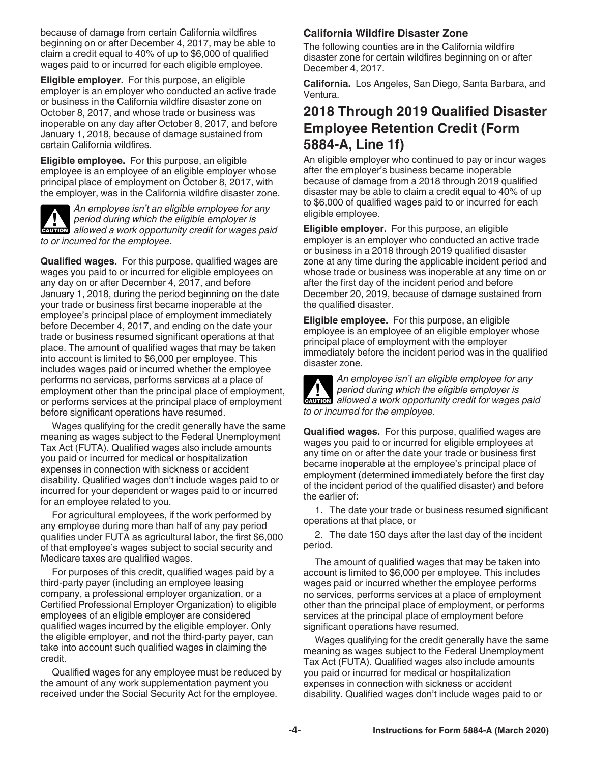because of damage from certain California wildfires beginning on or after December 4, 2017, may be able to claim a credit equal to 40% of up to \$6,000 of qualified wages paid to or incurred for each eligible employee.

**Eligible employer.** For this purpose, an eligible employer is an employer who conducted an active trade or business in the California wildfire disaster zone on October 8, 2017, and whose trade or business was inoperable on any day after October 8, 2017, and before January 1, 2018, because of damage sustained from certain California wildfires.

**Eligible employee.** For this purpose, an eligible employee is an employee of an eligible employer whose principal place of employment on October 8, 2017, with the employer, was in the California wildfire disaster zone.

*An employee isn't an eligible employee for any period during which the eligible employer is*  **z**<br>**CAUTION** allowed a work opportunity credit for wages paid *to or incurred for the employee.*

**Qualified wages.** For this purpose, qualified wages are wages you paid to or incurred for eligible employees on any day on or after December 4, 2017, and before January 1, 2018, during the period beginning on the date your trade or business first became inoperable at the employee's principal place of employment immediately before December 4, 2017, and ending on the date your trade or business resumed significant operations at that place. The amount of qualified wages that may be taken into account is limited to \$6,000 per employee. This includes wages paid or incurred whether the employee performs no services, performs services at a place of employment other than the principal place of employment, or performs services at the principal place of employment before significant operations have resumed.

Wages qualifying for the credit generally have the same meaning as wages subject to the Federal Unemployment Tax Act (FUTA). Qualified wages also include amounts you paid or incurred for medical or hospitalization expenses in connection with sickness or accident disability. Qualified wages don't include wages paid to or incurred for your dependent or wages paid to or incurred for an employee related to you.

For agricultural employees, if the work performed by any employee during more than half of any pay period qualifies under FUTA as agricultural labor, the first \$6,000 of that employee's wages subject to social security and Medicare taxes are qualified wages.

For purposes of this credit, qualified wages paid by a third-party payer (including an employee leasing company, a professional employer organization, or a Certified Professional Employer Organization) to eligible employees of an eligible employer are considered qualified wages incurred by the eligible employer. Only the eligible employer, and not the third-party payer, can take into account such qualified wages in claiming the credit.

Qualified wages for any employee must be reduced by the amount of any work supplementation payment you received under the Social Security Act for the employee.

#### **California Wildfire Disaster Zone**

The following counties are in the California wildfire disaster zone for certain wildfires beginning on or after December 4, 2017.

**California.** Los Angeles, San Diego, Santa Barbara, and Ventura.

## **2018 Through 2019 Qualified Disaster Employee Retention Credit (Form 5884-A, Line 1f)**

An eligible employer who continued to pay or incur wages after the employer's business became inoperable because of damage from a 2018 through 2019 qualified disaster may be able to claim a credit equal to 40% of up to \$6,000 of qualified wages paid to or incurred for each eligible employee.

**Eligible employer.** For this purpose, an eligible employer is an employer who conducted an active trade or business in a 2018 through 2019 qualified disaster zone at any time during the applicable incident period and whose trade or business was inoperable at any time on or after the first day of the incident period and before December 20, 2019, because of damage sustained from the qualified disaster.

**Eligible employee.** For this purpose, an eligible employee is an employee of an eligible employer whose principal place of employment with the employer immediately before the incident period was in the qualified disaster zone.

*An employee isn't an eligible employee for any period during which the eligible employer is*  **z**<br>**CAUTION** allowed a work opportunity credit for wages paid *to or incurred for the employee.*

**Qualified wages.** For this purpose, qualified wages are wages you paid to or incurred for eligible employees at any time on or after the date your trade or business first became inoperable at the employee's principal place of employment (determined immediately before the first day of the incident period of the qualified disaster) and before the earlier of:

1. The date your trade or business resumed significant operations at that place, or

2. The date 150 days after the last day of the incident period.

The amount of qualified wages that may be taken into account is limited to \$6,000 per employee. This includes wages paid or incurred whether the employee performs no services, performs services at a place of employment other than the principal place of employment, or performs services at the principal place of employment before significant operations have resumed.

Wages qualifying for the credit generally have the same meaning as wages subject to the Federal Unemployment Tax Act (FUTA). Qualified wages also include amounts you paid or incurred for medical or hospitalization expenses in connection with sickness or accident disability. Qualified wages don't include wages paid to or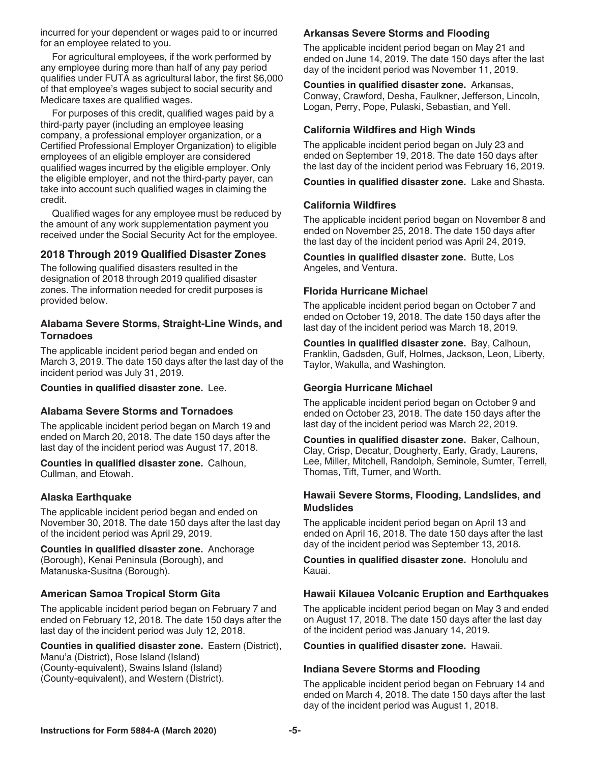incurred for your dependent or wages paid to or incurred for an employee related to you.

For agricultural employees, if the work performed by any employee during more than half of any pay period qualifies under FUTA as agricultural labor, the first \$6,000 of that employee's wages subject to social security and Medicare taxes are qualified wages.

For purposes of this credit, qualified wages paid by a third-party payer (including an employee leasing company, a professional employer organization, or a Certified Professional Employer Organization) to eligible employees of an eligible employer are considered qualified wages incurred by the eligible employer. Only the eligible employer, and not the third-party payer, can take into account such qualified wages in claiming the credit.

Qualified wages for any employee must be reduced by the amount of any work supplementation payment you received under the Social Security Act for the employee.

#### **2018 Through 2019 Qualified Disaster Zones**

The following qualified disasters resulted in the designation of 2018 through 2019 qualified disaster zones. The information needed for credit purposes is provided below.

#### **Alabama Severe Storms, Straight-Line Winds, and Tornadoes**

The applicable incident period began and ended on March 3, 2019. The date 150 days after the last day of the incident period was July 31, 2019.

**Counties in qualified disaster zone.** Lee.

#### **Alabama Severe Storms and Tornadoes**

The applicable incident period began on March 19 and ended on March 20, 2018. The date 150 days after the last day of the incident period was August 17, 2018.

**Counties in qualified disaster zone.** Calhoun, Cullman, and Etowah.

#### **Alaska Earthquake**

The applicable incident period began and ended on November 30, 2018. The date 150 days after the last day of the incident period was April 29, 2019.

**Counties in qualified disaster zone.** Anchorage (Borough), Kenai Peninsula (Borough), and Matanuska-Susitna (Borough).

#### **American Samoa Tropical Storm Gita**

The applicable incident period began on February 7 and ended on February 12, 2018. The date 150 days after the last day of the incident period was July 12, 2018.

**Counties in qualified disaster zone.** Eastern (District), Manu'a (District), Rose Island (Island) (County-equivalent), Swains Island (Island) (County-equivalent), and Western (District).

#### **Arkansas Severe Storms and Flooding**

The applicable incident period began on May 21 and ended on June 14, 2019. The date 150 days after the last day of the incident period was November 11, 2019.

**Counties in qualified disaster zone.** Arkansas, Conway, Crawford, Desha, Faulkner, Jefferson, Lincoln, Logan, Perry, Pope, Pulaski, Sebastian, and Yell.

#### **California Wildfires and High Winds**

The applicable incident period began on July 23 and ended on September 19, 2018. The date 150 days after the last day of the incident period was February 16, 2019.

**Counties in qualified disaster zone.** Lake and Shasta.

#### **California Wildfires**

The applicable incident period began on November 8 and ended on November 25, 2018. The date 150 days after the last day of the incident period was April 24, 2019.

**Counties in qualified disaster zone.** Butte, Los Angeles, and Ventura.

#### **Florida Hurricane Michael**

The applicable incident period began on October 7 and ended on October 19, 2018. The date 150 days after the last day of the incident period was March 18, 2019.

**Counties in qualified disaster zone.** Bay, Calhoun, Franklin, Gadsden, Gulf, Holmes, Jackson, Leon, Liberty, Taylor, Wakulla, and Washington.

#### **Georgia Hurricane Michael**

The applicable incident period began on October 9 and ended on October 23, 2018. The date 150 days after the last day of the incident period was March 22, 2019.

**Counties in qualified disaster zone.** Baker, Calhoun, Clay, Crisp, Decatur, Dougherty, Early, Grady, Laurens, Lee, Miller, Mitchell, Randolph, Seminole, Sumter, Terrell, Thomas, Tift, Turner, and Worth.

#### **Hawaii Severe Storms, Flooding, Landslides, and Mudslides**

The applicable incident period began on April 13 and ended on April 16, 2018. The date 150 days after the last day of the incident period was September 13, 2018.

**Counties in qualified disaster zone.** Honolulu and Kauai.

#### **Hawaii Kilauea Volcanic Eruption and Earthquakes**

The applicable incident period began on May 3 and ended on August 17, 2018. The date 150 days after the last day of the incident period was January 14, 2019.

**Counties in qualified disaster zone.** Hawaii.

#### **Indiana Severe Storms and Flooding**

The applicable incident period began on February 14 and ended on March 4, 2018. The date 150 days after the last day of the incident period was August 1, 2018.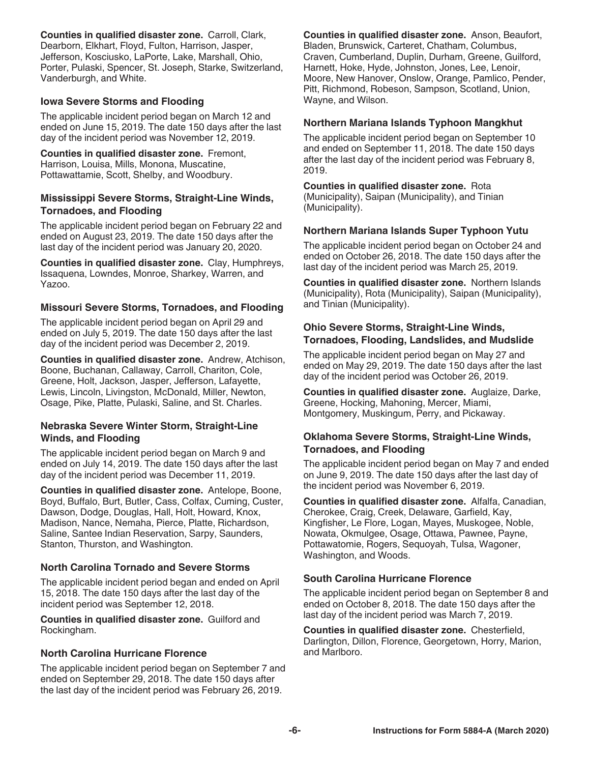**Counties in qualified disaster zone.** Carroll, Clark, Dearborn, Elkhart, Floyd, Fulton, Harrison, Jasper, Jefferson, Kosciusko, LaPorte, Lake, Marshall, Ohio, Porter, Pulaski, Spencer, St. Joseph, Starke, Switzerland, Vanderburgh, and White.

#### **Iowa Severe Storms and Flooding**

The applicable incident period began on March 12 and ended on June 15, 2019. The date 150 days after the last day of the incident period was November 12, 2019.

**Counties in qualified disaster zone.** Fremont, Harrison, Louisa, Mills, Monona, Muscatine, Pottawattamie, Scott, Shelby, and Woodbury.

#### **Mississippi Severe Storms, Straight-Line Winds, Tornadoes, and Flooding**

The applicable incident period began on February 22 and ended on August 23, 2019. The date 150 days after the last day of the incident period was January 20, 2020.

**Counties in qualified disaster zone.** Clay, Humphreys, Issaquena, Lowndes, Monroe, Sharkey, Warren, and Yazoo.

#### **Missouri Severe Storms, Tornadoes, and Flooding**

The applicable incident period began on April 29 and ended on July 5, 2019. The date 150 days after the last day of the incident period was December 2, 2019.

**Counties in qualified disaster zone.** Andrew, Atchison, Boone, Buchanan, Callaway, Carroll, Chariton, Cole, Greene, Holt, Jackson, Jasper, Jefferson, Lafayette, Lewis, Lincoln, Livingston, McDonald, Miller, Newton, Osage, Pike, Platte, Pulaski, Saline, and St. Charles.

#### **Nebraska Severe Winter Storm, Straight-Line Winds, and Flooding**

The applicable incident period began on March 9 and ended on July 14, 2019. The date 150 days after the last day of the incident period was December 11, 2019.

**Counties in qualified disaster zone.** Antelope, Boone, Boyd, Buffalo, Burt, Butler, Cass, Colfax, Cuming, Custer, Dawson, Dodge, Douglas, Hall, Holt, Howard, Knox, Madison, Nance, Nemaha, Pierce, Platte, Richardson, Saline, Santee Indian Reservation, Sarpy, Saunders, Stanton, Thurston, and Washington.

#### **North Carolina Tornado and Severe Storms**

The applicable incident period began and ended on April 15, 2018. The date 150 days after the last day of the incident period was September 12, 2018.

**Counties in qualified disaster zone.** Guilford and Rockingham.

#### **North Carolina Hurricane Florence**

The applicable incident period began on September 7 and ended on September 29, 2018. The date 150 days after the last day of the incident period was February 26, 2019.

**Counties in qualified disaster zone.** Anson, Beaufort, Bladen, Brunswick, Carteret, Chatham, Columbus, Craven, Cumberland, Duplin, Durham, Greene, Guilford, Harnett, Hoke, Hyde, Johnston, Jones, Lee, Lenoir, Moore, New Hanover, Onslow, Orange, Pamlico, Pender, Pitt, Richmond, Robeson, Sampson, Scotland, Union, Wayne, and Wilson.

#### **Northern Mariana Islands Typhoon Mangkhut**

The applicable incident period began on September 10 and ended on September 11, 2018. The date 150 days after the last day of the incident period was February 8, 2019.

**Counties in qualified disaster zone.** Rota (Municipality), Saipan (Municipality), and Tinian (Municipality).

#### **Northern Mariana Islands Super Typhoon Yutu**

The applicable incident period began on October 24 and ended on October 26, 2018. The date 150 days after the last day of the incident period was March 25, 2019.

**Counties in qualified disaster zone.** Northern Islands (Municipality), Rota (Municipality), Saipan (Municipality), and Tinian (Municipality).

#### **Ohio Severe Storms, Straight-Line Winds, Tornadoes, Flooding, Landslides, and Mudslide**

The applicable incident period began on May 27 and ended on May 29, 2019. The date 150 days after the last day of the incident period was October 26, 2019.

**Counties in qualified disaster zone.** Auglaize, Darke, Greene, Hocking, Mahoning, Mercer, Miami, Montgomery, Muskingum, Perry, and Pickaway.

#### **Oklahoma Severe Storms, Straight-Line Winds, Tornadoes, and Flooding**

The applicable incident period began on May 7 and ended on June 9, 2019. The date 150 days after the last day of the incident period was November 6, 2019.

**Counties in qualified disaster zone.** Alfalfa, Canadian, Cherokee, Craig, Creek, Delaware, Garfield, Kay, Kingfisher, Le Flore, Logan, Mayes, Muskogee, Noble, Nowata, Okmulgee, Osage, Ottawa, Pawnee, Payne, Pottawatomie, Rogers, Sequoyah, Tulsa, Wagoner, Washington, and Woods.

#### **South Carolina Hurricane Florence**

The applicable incident period began on September 8 and ended on October 8, 2018. The date 150 days after the last day of the incident period was March 7, 2019.

**Counties in qualified disaster zone.** Chesterfield, Darlington, Dillon, Florence, Georgetown, Horry, Marion, and Marlboro.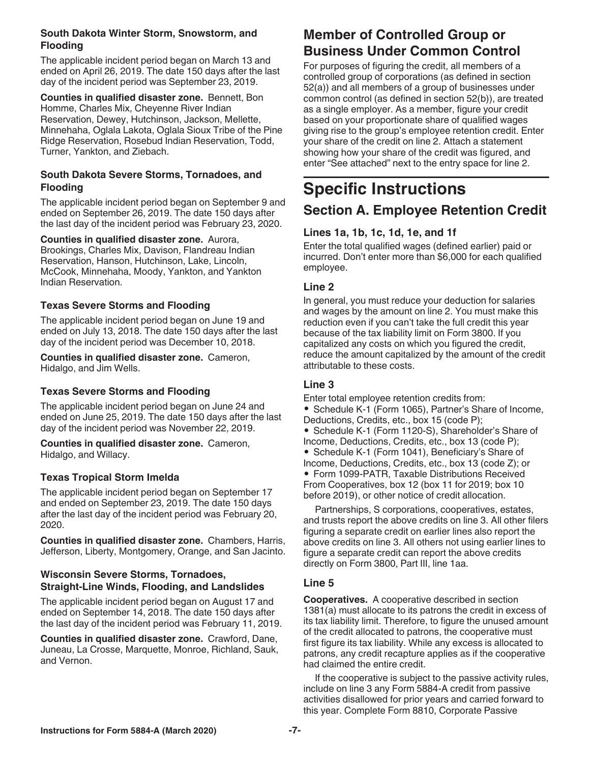#### **South Dakota Winter Storm, Snowstorm, and Flooding**

The applicable incident period began on March 13 and ended on April 26, 2019. The date 150 days after the last day of the incident period was September 23, 2019.

**Counties in qualified disaster zone.** Bennett, Bon Homme, Charles Mix, Cheyenne River Indian Reservation, Dewey, Hutchinson, Jackson, Mellette, Minnehaha, Oglala Lakota, Oglala Sioux Tribe of the Pine Ridge Reservation, Rosebud Indian Reservation, Todd, Turner, Yankton, and Ziebach.

#### **South Dakota Severe Storms, Tornadoes, and Flooding**

The applicable incident period began on September 9 and ended on September 26, 2019. The date 150 days after the last day of the incident period was February 23, 2020.

**Counties in qualified disaster zone.** Aurora, Brookings, Charles Mix, Davison, Flandreau Indian Reservation, Hanson, Hutchinson, Lake, Lincoln, McCook, Minnehaha, Moody, Yankton, and Yankton Indian Reservation.

#### **Texas Severe Storms and Flooding**

The applicable incident period began on June 19 and ended on July 13, 2018. The date 150 days after the last day of the incident period was December 10, 2018.

**Counties in qualified disaster zone.** Cameron, Hidalgo, and Jim Wells.

#### **Texas Severe Storms and Flooding**

The applicable incident period began on June 24 and ended on June 25, 2019. The date 150 days after the last day of the incident period was November 22, 2019.

#### **Counties in qualified disaster zone.** Cameron, Hidalgo, and Willacy.

#### **Texas Tropical Storm Imelda**

The applicable incident period began on September 17 and ended on September 23, 2019. The date 150 days after the last day of the incident period was February 20, 2020.

**Counties in qualified disaster zone.** Chambers, Harris, Jefferson, Liberty, Montgomery, Orange, and San Jacinto.

#### **Wisconsin Severe Storms, Tornadoes, Straight-Line Winds, Flooding, and Landslides**

The applicable incident period began on August 17 and ended on September 14, 2018. The date 150 days after the last day of the incident period was February 11, 2019.

**Counties in qualified disaster zone.** Crawford, Dane, Juneau, La Crosse, Marquette, Monroe, Richland, Sauk, and Vernon.

### **Member of Controlled Group or Business Under Common Control**

For purposes of figuring the credit, all members of a controlled group of corporations (as defined in section 52(a)) and all members of a group of businesses under common control (as defined in section 52(b)), are treated as a single employer. As a member, figure your credit based on your proportionate share of qualified wages giving rise to the group's employee retention credit. Enter your share of the credit on line 2. Attach a statement showing how your share of the credit was figured, and enter "See attached" next to the entry space for line 2.

# **Specific Instructions Section A. Employee Retention Credit**

#### **Lines 1a, 1b, 1c, 1d, 1e, and 1f**

Enter the total qualified wages (defined earlier) paid or incurred. Don't enter more than \$6,000 for each qualified employee.

#### **Line 2**

In general, you must reduce your deduction for salaries and wages by the amount on line 2. You must make this reduction even if you can't take the full credit this year because of the tax liability limit on Form 3800. If you capitalized any costs on which you figured the credit, reduce the amount capitalized by the amount of the credit attributable to these costs.

#### **Line 3**

Enter total employee retention credits from: • Schedule K-1 (Form 1065), Partner's Share of Income, Deductions, Credits, etc., box 15 (code P);

- Schedule K-1 (Form 1120-S), Shareholder's Share of Income, Deductions, Credits, etc., box 13 (code P);
- Schedule K-1 (Form 1041), Beneficiary's Share of Income, Deductions, Credits, etc., box 13 (code Z); or • Form 1099-PATR, Taxable Distributions Received From Cooperatives, box 12 (box 11 for 2019; box 10 before 2019), or other notice of credit allocation.

Partnerships, S corporations, cooperatives, estates, and trusts report the above credits on line 3. All other filers figuring a separate credit on earlier lines also report the above credits on line 3. All others not using earlier lines to figure a separate credit can report the above credits directly on Form 3800, Part III, line 1aa.

#### **Line 5**

**Cooperatives.** A cooperative described in section 1381(a) must allocate to its patrons the credit in excess of its tax liability limit. Therefore, to figure the unused amount of the credit allocated to patrons, the cooperative must first figure its tax liability. While any excess is allocated to patrons, any credit recapture applies as if the cooperative had claimed the entire credit.

If the cooperative is subject to the passive activity rules, include on line 3 any Form 5884-A credit from passive activities disallowed for prior years and carried forward to this year. Complete Form 8810, Corporate Passive